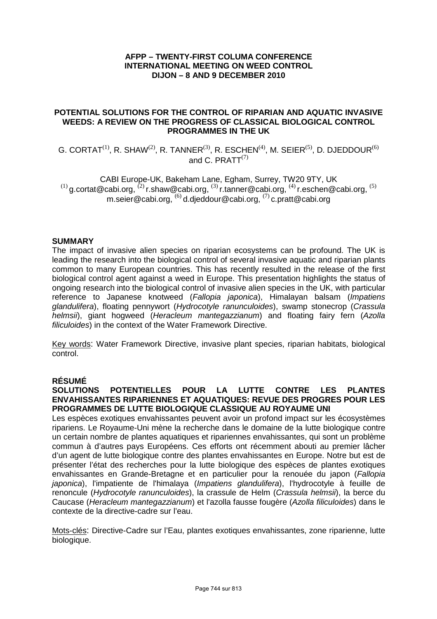# **AFPP – TWENTY-FIRST COLUMA CONFERENCE INTERNATIONAL MEETING ON WEED CONTROL DIJON – 8 AND 9 DECEMBER 2010**

## **POTENTIAL SOLUTIONS FOR THE CONTROL OF RIPARIAN AND AQUATIC INVASIVE WEEDS: A REVIEW ON THE PROGRESS OF CLASSICAL BIOLOGICAL CONTROL PROGRAMMES IN THE UK**

G. CORTAT<sup>(1)</sup>, R. SHAW<sup>(2)</sup>, R. TANNER<sup>(3)</sup>, R. ESCHEN<sup>(4)</sup>, M. SEIER<sup>(5)</sup>, D. DJEDDOUR<sup>(6)</sup> and C. PRATT $^{(7)}$ 

CABI Europe-UK, Bakeham Lane, Egham, Surrey, TW20 9TY, UK  $(1)$  g.cortat@cabi.org,  $(2)$  r.shaw@cabi.org,  $(3)$  r.tanner@cabi.org,  $(4)$  r.eschen@cabi.org,  $(5)$ m.seier@cabi.org, (6) d.djeddour@cabi.org, (7) c.pratt@cabi.org

## **SUMMARY**

The impact of invasive alien species on riparian ecosystems can be profound. The UK is leading the research into the biological control of several invasive aquatic and riparian plants common to many European countries. This has recently resulted in the release of the first biological control agent against a weed in Europe. This presentation highlights the status of ongoing research into the biological control of invasive alien species in the UK, with particular reference to Japanese knotweed (Fallopia japonica), Himalayan balsam (Impatiens glandulifera), floating pennywort (Hydrocotyle ranunculoides), swamp stonecrop (Crassula helmsii), giant hogweed (Heracleum mantegazzianum) and floating fairy fern (Azolla filiculoides) in the context of the Water Framework Directive.

Key words: Water Framework Directive, invasive plant species, riparian habitats, biological control.

# **RÉSUMÉ**

# **SOLUTIONS POTENTIELLES POUR LA LUTTE CONTRE LES PLANTES ENVAHISSANTES RIPARIENNES ET AQUATIQUES: REVUE DES PROGRES POUR LES PROGRAMMES DE LUTTE BIOLOGIQUE CLASSIQUE AU ROYAUME UNI**

Les espèces exotiques envahissantes peuvent avoir un profond impact sur les écosystèmes ripariens. Le Royaume-Uni mène la recherche dans le domaine de la lutte biologique contre un certain nombre de plantes aquatiques et ripariennes envahissantes, qui sont un problème commun à d'autres pays Européens. Ces efforts ont récemment abouti au premier lâcher d'un agent de lutte biologique contre des plantes envahissantes en Europe. Notre but est de présenter l'état des recherches pour la lutte biologique des espèces de plantes exotiques envahissantes en Grande-Bretagne et en particulier pour la renouée du japon (Fallopia japonica), l'impatiente de l'himalaya (Impatiens glandulifera), l'hydrocotyle à feuille de renoncule (Hydrocotyle ranunculoides), la crassule de Helm (Crassula helmsii), la berce du Caucase (Heracleum mantegazzianum) et l'azolla fausse fougère (Azolla filiculoides) dans le contexte de la directive-cadre sur l'eau.

Mots-clés: Directive-Cadre sur l'Eau, plantes exotiques envahissantes, zone riparienne, lutte biologique.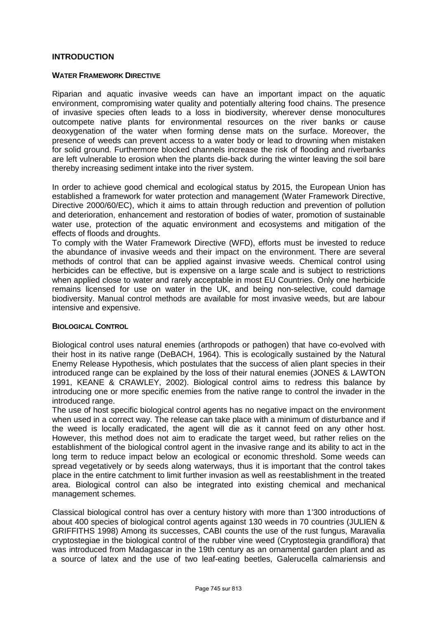## **INTRODUCTION**

#### **WATER FRAMEWORK DIRECTIVE**

Riparian and aquatic invasive weeds can have an important impact on the aquatic environment, compromising water quality and potentially altering food chains. The presence of invasive species often leads to a loss in biodiversity, wherever dense monocultures outcompete native plants for environmental resources on the river banks or cause deoxygenation of the water when forming dense mats on the surface. Moreover, the presence of weeds can prevent access to a water body or lead to drowning when mistaken for solid ground. Furthermore blocked channels increase the risk of flooding and riverbanks are left vulnerable to erosion when the plants die-back during the winter leaving the soil bare thereby increasing sediment intake into the river system.

In order to achieve good chemical and ecological status by 2015, the European Union has established a framework for water protection and management (Water Framework Directive, Directive 2000/60/EC), which it aims to attain through reduction and prevention of pollution and deterioration, enhancement and restoration of bodies of water, promotion of sustainable water use, protection of the aquatic environment and ecosystems and mitigation of the effects of floods and droughts.

To comply with the Water Framework Directive (WFD), efforts must be invested to reduce the abundance of invasive weeds and their impact on the environment. There are several methods of control that can be applied against invasive weeds. Chemical control using herbicides can be effective, but is expensive on a large scale and is subject to restrictions when applied close to water and rarely acceptable in most EU Countries. Only one herbicide remains licensed for use on water in the UK, and being non-selective, could damage biodiversity. Manual control methods are available for most invasive weeds, but are labour intensive and expensive.

## **BIOLOGICAL CONTROL**

Biological control uses natural enemies (arthropods or pathogen) that have co-evolved with their host in its native range (DeBACH, 1964). This is ecologically sustained by the Natural Enemy Release Hypothesis, which postulates that the success of alien plant species in their introduced range can be explained by the loss of their natural enemies (JONES & LAWTON 1991, KEANE & CRAWLEY, 2002). Biological control aims to redress this balance by introducing one or more specific enemies from the native range to control the invader in the introduced range.

The use of host specific biological control agents has no negative impact on the environment when used in a correct way. The release can take place with a minimum of disturbance and if the weed is locally eradicated, the agent will die as it cannot feed on any other host. However, this method does not aim to eradicate the target weed, but rather relies on the establishment of the biological control agent in the invasive range and its ability to act in the long term to reduce impact below an ecological or economic threshold. Some weeds can spread vegetatively or by seeds along waterways, thus it is important that the control takes place in the entire catchment to limit further invasion as well as reestablishment in the treated area. Biological control can also be integrated into existing chemical and mechanical management schemes.

Classical biological control has over a century history with more than 1'300 introductions of about 400 species of biological control agents against 130 weeds in 70 countries (JULIEN & GRIFFITHS 1998) Among its successes, CABI counts the use of the rust fungus, Maravalia cryptostegiae in the biological control of the rubber vine weed (Cryptostegia grandiflora) that was introduced from Madagascar in the 19th century as an ornamental garden plant and as a source of latex and the use of two leaf-eating beetles, Galerucella calmariensis and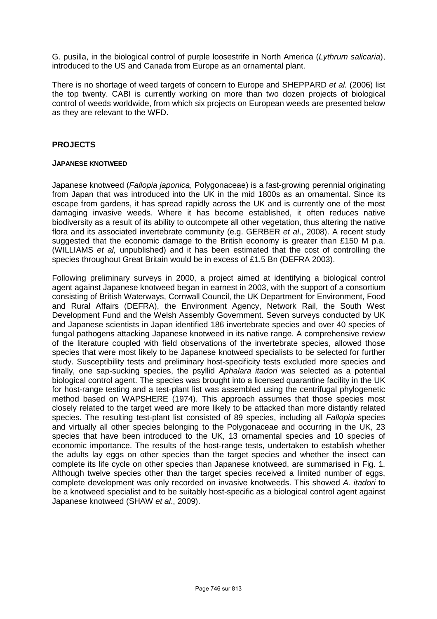G. pusilla, in the biological control of purple loosestrife in North America (Lythrum salicaria), introduced to the US and Canada from Europe as an ornamental plant.

There is no shortage of weed targets of concern to Europe and SHEPPARD et al. (2006) list the top twenty. CABI is currently working on more than two dozen projects of biological control of weeds worldwide, from which six projects on European weeds are presented below as they are relevant to the WFD.

# **PROJECTS**

#### **JAPANESE KNOTWEED**

Japanese knotweed (Fallopia japonica, Polygonaceae) is a fast-growing perennial originating from Japan that was introduced into the UK in the mid 1800s as an ornamental. Since its escape from gardens, it has spread rapidly across the UK and is currently one of the most damaging invasive weeds. Where it has become established, it often reduces native biodiversity as a result of its ability to outcompete all other vegetation, thus altering the native flora and its associated invertebrate community (e.g. GERBER et al., 2008). A recent study suggested that the economic damage to the British economy is greater than £150 M p.a. (WILLIAMS et al, unpublished) and it has been estimated that the cost of controlling the species throughout Great Britain would be in excess of £1.5 Bn (DEFRA 2003).

Following preliminary surveys in 2000, a project aimed at identifying a biological control agent against Japanese knotweed began in earnest in 2003, with the support of a consortium consisting of British Waterways, Cornwall Council, the UK Department for Environment, Food and Rural Affairs (DEFRA), the Environment Agency, Network Rail, the South West Development Fund and the Welsh Assembly Government. Seven surveys conducted by UK and Japanese scientists in Japan identified 186 invertebrate species and over 40 species of fungal pathogens attacking Japanese knotweed in its native range. A comprehensive review of the literature coupled with field observations of the invertebrate species, allowed those species that were most likely to be Japanese knotweed specialists to be selected for further study. Susceptibility tests and preliminary host-specificity tests excluded more species and finally, one sap-sucking species, the psyllid Aphalara itadori was selected as a potential biological control agent. The species was brought into a licensed quarantine facility in the UK for host-range testing and a test-plant list was assembled using the centrifugal phylogenetic method based on WAPSHERE (1974). This approach assumes that those species most closely related to the target weed are more likely to be attacked than more distantly related species. The resulting test-plant list consisted of 89 species, including all Fallopia species and virtually all other species belonging to the Polygonaceae and occurring in the UK, 23 species that have been introduced to the UK, 13 ornamental species and 10 species of economic importance. The results of the host-range tests, undertaken to establish whether the adults lay eggs on other species than the target species and whether the insect can complete its life cycle on other species than Japanese knotweed, are summarised in Fig. 1. Although twelve species other than the target species received a limited number of eggs, complete development was only recorded on invasive knotweeds. This showed A. *itadori* to be a knotweed specialist and to be suitably host-specific as a biological control agent against Japanese knotweed (SHAW et al., 2009).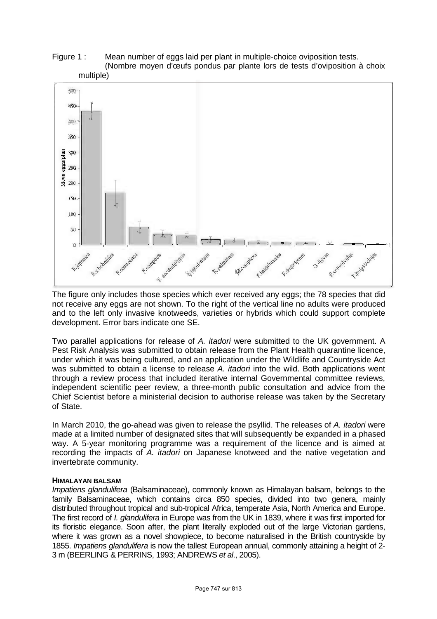## Figure 1 : Mean number of eggs laid per plant in multiple-choice oviposition tests. (Nombre moyen d'œufs pondus par plante lors de tests d'oviposition à choix multiple)



The figure only includes those species which ever received any eggs; the 78 species that did not receive any eggs are not shown. To the right of the vertical line no adults were produced and to the left only invasive knotweeds, varieties or hybrids which could support complete development. Error bars indicate one SE.

Two parallel applications for release of A. itadori were submitted to the UK government. A Pest Risk Analysis was submitted to obtain release from the Plant Health quarantine licence, under which it was being cultured, and an application under the Wildlife and Countryside Act was submitted to obtain a license to release A. *itadori* into the wild. Both applications went through a review process that included iterative internal Governmental committee reviews, independent scientific peer review, a three-month public consultation and advice from the Chief Scientist before a ministerial decision to authorise release was taken by the Secretary of State.

In March 2010, the go-ahead was given to release the psyllid. The releases of A. *itadori* were made at a limited number of designated sites that will subsequently be expanded in a phased way. A 5-year monitoring programme was a requirement of the licence and is aimed at recording the impacts of A. itadori on Japanese knotweed and the native vegetation and invertebrate community.

# **HIMALAYAN BALSAM**

Impatiens glandulifera (Balsaminaceae), commonly known as Himalayan balsam, belongs to the family Balsaminaceae, which contains circa 850 species, divided into two genera, mainly distributed throughout tropical and sub-tropical Africa, temperate Asia, North America and Europe. The first record of *I. glandulifera* in Europe was from the UK in 1839, where it was first imported for its floristic elegance. Soon after, the plant literally exploded out of the large Victorian gardens, where it was grown as a novel showpiece, to become naturalised in the British countryside by 1855. Impatiens glandulifera is now the tallest European annual, commonly attaining a height of 2- 3 m (BEERLING & PERRINS, 1993; ANDREWS et al., 2005).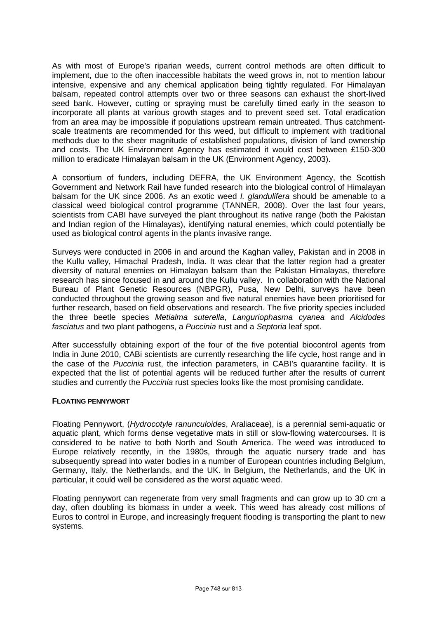As with most of Europe's riparian weeds, current control methods are often difficult to implement, due to the often inaccessible habitats the weed grows in, not to mention labour intensive, expensive and any chemical application being tightly regulated. For Himalayan balsam, repeated control attempts over two or three seasons can exhaust the short-lived seed bank. However, cutting or spraying must be carefully timed early in the season to incorporate all plants at various growth stages and to prevent seed set. Total eradication from an area may be impossible if populations upstream remain untreated. Thus catchmentscale treatments are recommended for this weed, but difficult to implement with traditional methods due to the sheer magnitude of established populations, division of land ownership and costs. The UK Environment Agency has estimated it would cost between £150-300 million to eradicate Himalayan balsam in the UK (Environment Agency, 2003).

A consortium of funders, including DEFRA, the UK Environment Agency, the Scottish Government and Network Rail have funded research into the biological control of Himalayan balsam for the UK since 2006. As an exotic weed *I. glandulifera* should be amenable to a classical weed biological control programme (TANNER, 2008). Over the last four years, scientists from CABI have surveyed the plant throughout its native range (both the Pakistan and Indian region of the Himalayas), identifying natural enemies, which could potentially be used as biological control agents in the plants invasive range.

Surveys were conducted in 2006 in and around the Kaghan valley, Pakistan and in 2008 in the Kullu valley, Himachal Pradesh, India. It was clear that the latter region had a greater diversity of natural enemies on Himalayan balsam than the Pakistan Himalayas, therefore research has since focused in and around the Kullu valley. In collaboration with the National Bureau of Plant Genetic Resources (NBPGR), Pusa, New Delhi, surveys have been conducted throughout the growing season and five natural enemies have been prioritised for further research, based on field observations and research. The five priority species included the three beetle species Metialma suterella, Languriophasma cyanea and Alcidodes fasciatus and two plant pathogens, a Puccinia rust and a Septoria leaf spot.

After successfully obtaining export of the four of the five potential biocontrol agents from India in June 2010, CABi scientists are currently researching the life cycle, host range and in the case of the Puccinia rust, the infection parameters, in CABI's quarantine facility. It is expected that the list of potential agents will be reduced further after the results of current studies and currently the Puccinia rust species looks like the most promising candidate.

## **FLOATING PENNYWORT**

Floating Pennywort, (Hydrocotyle ranunculoides, Araliaceae), is a perennial semi-aquatic or aquatic plant, which forms dense vegetative mats in still or slow-flowing watercourses. It is considered to be native to both North and South America. The weed was introduced to Europe relatively recently, in the 1980s, through the aquatic nursery trade and has subsequently spread into water bodies in a number of European countries including Belgium, Germany, Italy, the Netherlands, and the UK. In Belgium, the Netherlands, and the UK in particular, it could well be considered as the worst aquatic weed.

Floating pennywort can regenerate from very small fragments and can grow up to 30 cm a day, often doubling its biomass in under a week. This weed has already cost millions of Euros to control in Europe, and increasingly frequent flooding is transporting the plant to new systems.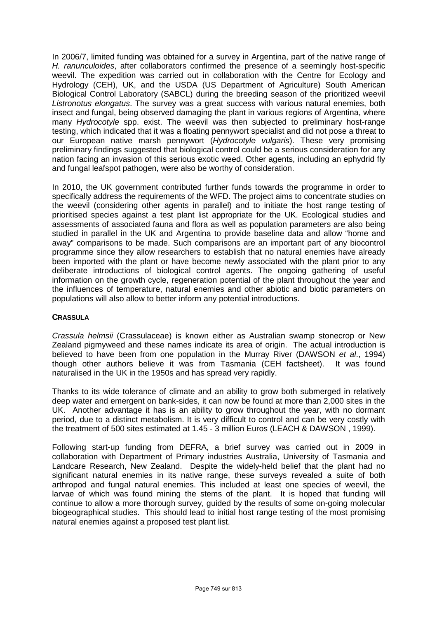In 2006/7, limited funding was obtained for a survey in Argentina, part of the native range of H. ranunculoides, after collaborators confirmed the presence of a seemingly host-specific weevil. The expedition was carried out in collaboration with the Centre for Ecology and Hydrology (CEH), UK, and the USDA (US Department of Agriculture) South American Biological Control Laboratory (SABCL) during the breeding season of the prioritized weevil Listronotus elongatus. The survey was a great success with various natural enemies, both insect and fungal, being observed damaging the plant in various regions of Argentina, where many *Hydrocotyle* spp. exist. The weevil was then subjected to preliminary host-range testing, which indicated that it was a floating pennywort specialist and did not pose a threat to our European native marsh pennywort (Hydrocotyle vulgaris). These very promising preliminary findings suggested that biological control could be a serious consideration for any nation facing an invasion of this serious exotic weed. Other agents, including an ephydrid fly and fungal leafspot pathogen, were also be worthy of consideration.

In 2010, the UK government contributed further funds towards the programme in order to specifically address the requirements of the WFD. The project aims to concentrate studies on the weevil (considering other agents in parallel) and to initiate the host range testing of prioritised species against a test plant list appropriate for the UK. Ecological studies and assessments of associated fauna and flora as well as population parameters are also being studied in parallel in the UK and Argentina to provide baseline data and allow "home and away" comparisons to be made. Such comparisons are an important part of any biocontrol programme since they allow researchers to establish that no natural enemies have already been imported with the plant or have become newly associated with the plant prior to any deliberate introductions of biological control agents. The ongoing gathering of useful information on the growth cycle, regeneration potential of the plant throughout the year and the influences of temperature, natural enemies and other abiotic and biotic parameters on populations will also allow to better inform any potential introductions.

# **CRASSULA**

Crassula helmsii (Crassulaceae) is known either as Australian swamp stonecrop or New Zealand pigmyweed and these names indicate its area of origin. The actual introduction is believed to have been from one population in the Murray River (DAWSON et al., 1994) though other authors believe it was from Tasmania (CEH factsheet). It was found naturalised in the UK in the 1950s and has spread very rapidly.

Thanks to its wide tolerance of climate and an ability to grow both submerged in relatively deep water and emergent on bank-sides, it can now be found at more than 2,000 sites in the UK. Another advantage it has is an ability to grow throughout the year, with no dormant period, due to a distinct metabolism. It is very difficult to control and can be very costly with the treatment of 500 sites estimated at 1.45 - 3 million Euros (LEACH & DAWSON , 1999).

Following start-up funding from DEFRA, a brief survey was carried out in 2009 in collaboration with Department of Primary industries Australia, University of Tasmania and Landcare Research, New Zealand. Despite the widely-held belief that the plant had no significant natural enemies in its native range, these surveys revealed a suite of both arthropod and fungal natural enemies. This included at least one species of weevil, the larvae of which was found mining the stems of the plant. It is hoped that funding will continue to allow a more thorough survey, guided by the results of some on-going molecular biogeographical studies. This should lead to initial host range testing of the most promising natural enemies against a proposed test plant list.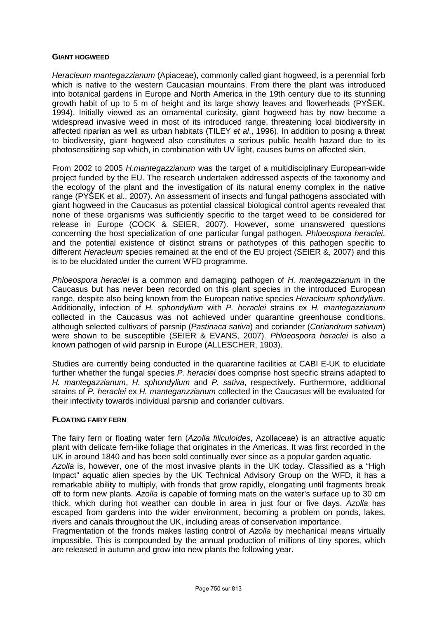## **GIANT HOGWEED**

Heracleum mantegazzianum (Apiaceae), commonly called giant hogweed, is a perennial forb which is native to the western Caucasian mountains. From there the plant was introduced into botanical gardens in Europe and North America in the 19th century due to its stunning growth habit of up to 5 m of height and its large showy leaves and flowerheads (PYŠEK, 1994). Initially viewed as an ornamental curiosity, giant hogweed has by now become a widespread invasive weed in most of its introduced range, threatening local biodiversity in affected riparian as well as urban habitats (TILEY et al., 1996). In addition to posing a threat to biodiversity, giant hogweed also constitutes a serious public health hazard due to its photosensitizing sap which, in combination with UV light, causes burns on affected skin.

From 2002 to 2005 H.mantegazzianum was the target of a multidisciplinary European-wide project funded by the EU. The research undertaken addressed aspects of the taxonomy and the ecology of the plant and the investigation of its natural enemy complex in the native range (PYŠEK et al., 2007). An assessment of insects and fungal pathogens associated with giant hogweed in the Caucasus as potential classical biological control agents revealed that none of these organisms was sufficiently specific to the target weed to be considered for release in Europe (COCK & SEIER, 2007). However, some unanswered questions concerning the host specialization of one particular fungal pathogen, Phloeospora heraclei, and the potential existence of distinct strains or pathotypes of this pathogen specific to different *Heracleum* species remained at the end of the EU project (SEIER &, 2007) and this is to be elucidated under the current WFD programme.

Phloeospora heraclei is a common and damaging pathogen of H. mantegazzianum in the Caucasus but has never been recorded on this plant species in the introduced European range, despite also being known from the European native species Heracleum sphondylium. Additionally, infection of H. sphondylium with P. heraclei strains ex H. mantegazzianum collected in the Caucasus was not achieved under quarantine greenhouse conditions, although selected cultivars of parsnip (Pastinaca sativa) and coriander (Coriandrum sativum) were shown to be susceptible (SEIER & EVANS, 2007). Phloeospora heraclei is also a known pathogen of wild parsnip in Europe (ALLESCHER, 1903).

Studies are currently being conducted in the quarantine facilities at CABI E-UK to elucidate further whether the fungal species P. heraclei does comprise host specific strains adapted to H. mantegazzianum, H. sphondylium and P. sativa, respectively. Furthermore, additional strains of P. heraclei ex H. manteganzzianum collected in the Caucasus will be evaluated for their infectivity towards individual parsnip and coriander cultivars.

## **FLOATING FAIRY FERN**

The fairy fern or floating water fern (Azolla filiculoides, Azollaceae) is an attractive aquatic plant with delicate fern-like foliage that originates in the Americas. It was first recorded in the UK in around 1840 and has been sold continually ever since as a popular garden aquatic. Azolla is, however, one of the most invasive plants in the UK today. Classified as a "High Impact" aquatic alien species by the UK Technical Advisory Group on the WFD, it has a remarkable ability to multiply, with fronds that grow rapidly, elongating until fragments break off to form new plants. Azolla is capable of forming mats on the water's surface up to 30 cm thick, which during hot weather can double in area in just four or five days. Azolla has escaped from gardens into the wider environment, becoming a problem on ponds, lakes, rivers and canals throughout the UK, including areas of conservation importance.

Fragmentation of the fronds makes lasting control of Azolla by mechanical means virtually impossible. This is compounded by the annual production of millions of tiny spores, which are released in autumn and grow into new plants the following year.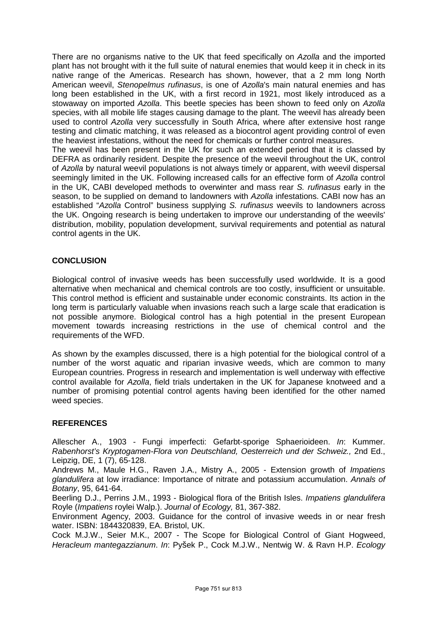There are no organisms native to the UK that feed specifically on Azolla and the imported plant has not brought with it the full suite of natural enemies that would keep it in check in its native range of the Americas. Research has shown, however, that a 2 mm long North American weevil, Stenopelmus rufinasus, is one of Azolla's main natural enemies and has long been established in the UK, with a first record in 1921, most likely introduced as a stowaway on imported Azolla. This beetle species has been shown to feed only on Azolla species, with all mobile life stages causing damage to the plant. The weevil has already been used to control Azolla very successfully in South Africa, where after extensive host range testing and climatic matching, it was released as a biocontrol agent providing control of even the heaviest infestations, without the need for chemicals or further control measures.

The weevil has been present in the UK for such an extended period that it is classed by DEFRA as ordinarily resident. Despite the presence of the weevil throughout the UK, control of Azolla by natural weevil populations is not always timely or apparent, with weevil dispersal seemingly limited in the UK. Following increased calls for an effective form of Azolla control in the UK, CABI developed methods to overwinter and mass rear S. rufinasus early in the season, to be supplied on demand to landowners with Azolla infestations. CABI now has an established "Azolla Control" business supplying S. rufinasus weevils to landowners across the UK. Ongoing research is being undertaken to improve our understanding of the weevils' distribution, mobility, population development, survival requirements and potential as natural control agents in the UK.

# **CONCLUSION**

Biological control of invasive weeds has been successfully used worldwide. It is a good alternative when mechanical and chemical controls are too costly, insufficient or unsuitable. This control method is efficient and sustainable under economic constraints. Its action in the long term is particularly valuable when invasions reach such a large scale that eradication is not possible anymore. Biological control has a high potential in the present European movement towards increasing restrictions in the use of chemical control and the requirements of the WFD.

As shown by the examples discussed, there is a high potential for the biological control of a number of the worst aquatic and riparian invasive weeds, which are common to many European countries. Progress in research and implementation is well underway with effective control available for Azolla, field trials undertaken in the UK for Japanese knotweed and a number of promising potential control agents having been identified for the other named weed species.

# **REFERENCES**

Allescher A., 1903 - Fungi imperfecti: Gefarbt-sporige Sphaerioideen. In: Kummer. Rabenhorst's Kryptogamen-Flora von Deutschland, Oesterreich und der Schweiz., 2nd Ed., Leipzig, DE, 1 (7), 65-128.

Andrews M., Maule H.G., Raven J.A., Mistry A., 2005 - Extension growth of Impatiens glandulifera at low irradiance: Importance of nitrate and potassium accumulation. Annals of Botany, 95, 641-64.

Beerling D.J., Perrins J.M., 1993 - Biological flora of the British Isles. Impatiens glandulifera Royle (Impatiens roylei Walp.). Journal of Ecology, 81, 367-382.

Environment Agency, 2003. Guidance for the control of invasive weeds in or near fresh water. ISBN: 1844320839, EA. Bristol, UK.

Cock M.J.W., Seier M.K., 2007 - The Scope for Biological Control of Giant Hogweed, Heracleum mantegazzianum. In: Pyšek P., Cock M.J.W., Nentwig W. & Ravn H.P. Ecology